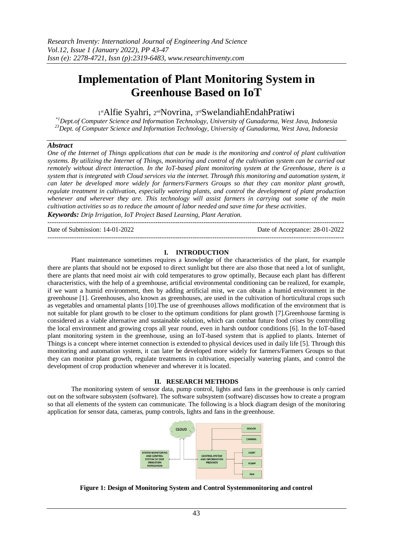# **Implementation of Plant Monitoring System in Greenhouse Based on IoT**

1st Alfie Syahri, 2nd Novrina, 3rd Swelandiah Endah Pratiwi

*\*1Dept.of Computer Science and Information Technology, University of Gunadarma, West Java, Indonesia <sup>23</sup>Dept. of Computer Science and Information Technology, University of Gunadarma, West Java, Indonesia* 

# *Abstract*

*One of the Internet of Things applications that can be made is the monitoring and control of plant cultivation systems. By utilizing the Internet of Things, monitoring and control of the cultivation system can be carried out remotely without direct interaction. In the IoT-based plant monitoring system at the Greenhouse, there is a system that is integrated with Cloud services via the internet. Through this monitoring and automation system, it can later be developed more widely for farmers/Farmers Groups so that they can monitor plant growth, regulate treatment in cultivation, especially watering plants, and control the development of plant production whenever and wherever they are. This technology will assist farmers in carrying out some of the main cultivation activities so as to reduce the amount of labor needed and save time for these activities.*

*Keywords: Drip Irrigation, IoT Project Based Learning, Plant Aeration.* ---------------------------------------------------------------------------------------------------------------------------------------

Date of Submission: 14-01-2022 Date of Acceptance: 28-01-2022

### **I. INTRODUCTION**

---------------------------------------------------------------------------------------------------------------------------------------

Plant maintenance sometimes requires a knowledge of the characteristics of the plant, for example there are plants that should not be exposed to direct sunlight but there are also those that need a lot of sunlight, there are plants that need moist air with cold temperatures to grow optimally, Because each plant has different characteristics, with the help of a greenhouse, artificial environmental conditioning can be realized, for example, if we want a humid environment, then by adding artificial mist, we can obtain a humid environment in the greenhouse [1]. Greenhouses, also known as greenhouses, are used in the cultivation of horticultural crops such as vegetables and ornamental plants [10].The use of greenhouses allows modification of the environment that is not suitable for plant growth to be closer to the optimum conditions for plant growth [7].Greenhouse farming is considered as a viable alternative and sustainable solution, which can combat future food crises by controlling the local environment and growing crops all year round, even in harsh outdoor conditions [6]. In the IoT-based plant monitoring system in the greenhouse, using an IoT-based system that is applied to plants. Internet of Things is a concept where internet connection is extended to physical devices used in daily life [5]. Through this monitoring and automation system, it can later be developed more widely for farmers/Farmers Groups so that they can monitor plant growth, regulate treatments in cultivation, especially watering plants, and control the development of crop production whenever and wherever it is located.

# **II. RESEARCH METHODS**

The monitoring system of sensor data, pump control, lights and fans in the greenhouse is only carried out on the software subsystem (software). The software subsystem (software) discusses how to create a program so that all elements of the system can communicate. The following is a block diagram design of the monitoring application for sensor data, cameras, pump controls, lights and fans in the greenhouse.



**Figure 1: Design of Monitoring System and Control Systemmonitoring and control**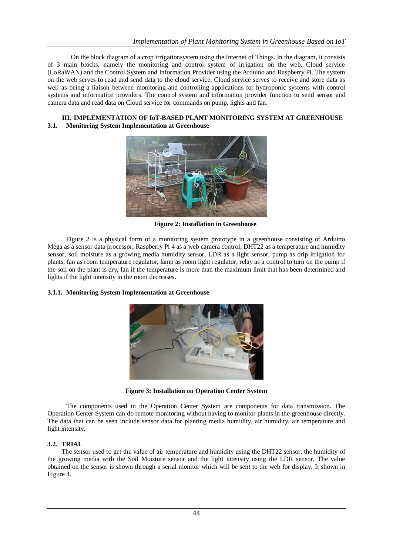On the block diagram of a crop irrigationsystem using the Internet of Things. In the diagram, it consists of 3 main blocks, namely the monitoring and control system of irrigation on the web, Cloud service (LoRaWAN) and the Control System and Information Provider using the Arduino and Raspberry Pi. The system on the web serves to read and send data to the cloud service. Cloud service serves to receive and store data as well as being a liaison between monitoring and controlling applications for hydroponic systems with control systems and information providers. The control system and information provider function to send sensor and camera data and read data on Cloud service for commands on pump, lights and fan.

### **III. IMPLEMENTATION OF IoT-BASED PLANT MONITORING SYSTEM AT GREENHOUSE 3.1. Monitoring System Implementation at Greenhouse**



**Figure 2: Installation in Greenhouse**

Figure 2 is a physical form of a monitoring system prototype in a greenhouse consisting of Arduino Mega as a sensor data processor, Raspberry Pi 4 as a web camera control, DHT22 as a temperature and humidity sensor, soil moisture as a growing media humidity sensor, LDR as a light sensor, pump as drip irrigation for plants, fan as room temperature regulator, lamp as room light regulator, relay as a control to turn on the pump if the soil on the plant is dry, fan if the temperature is more than the maximum limit that has been determined and lights if the light intensity in the room decreases.

### **3.1.1. Monitoring System Implementation at Greenhouse**



**Figure 3: Installation on Operation Center System**

The components used in the Operation Center System are components for data transmission. The Operation Center System can do remote monitoring without having to monitor plants in the greenhouse directly. The data that can be seen include sensor data for planting media humidity, air humidity, air temperature and light intensity.

### **3.2. TRIAL**

The sensor used to get the value of air temperature and humidity using the DHT22 sensor, the humidity of the growing media with the Soil Moisture sensor and the light intensity using the LDR sensor. The value obtained on the sensor is shown through a serial monitor which will be sent to the web for display. It shown in Figure 4.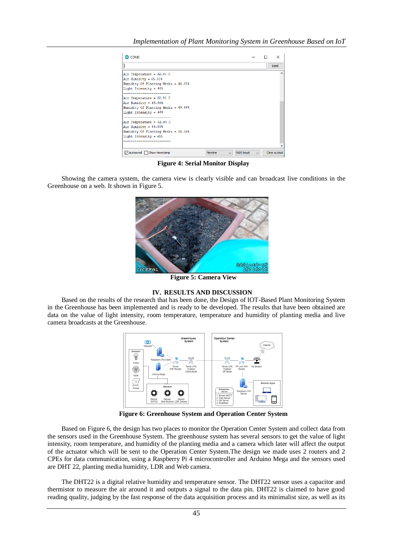| COM3                                                                                                                              |                   |                     |              |
|-----------------------------------------------------------------------------------------------------------------------------------|-------------------|---------------------|--------------|
|                                                                                                                                   |                   |                     | Send         |
| Air Temperature = $32.90$ C<br>Air Humidity = $65.50$<br>Humidity Of Planting Media = 48.88%<br>Light Intensity = 485             |                   |                     |              |
| Air Temperature = 32.90 C<br>Air Humidity = $65.50$<br>Humidity Of Planting Media = $49.66$ <sup>§</sup><br>Light Intensity = 469 |                   |                     |              |
| Air Temperature = 32.90 C<br>Air Humidity = $65.50$ <sup>§</sup><br>Humidity Of Planting Media = 50.34%<br>Light Intensity = 455  |                   |                     |              |
|                                                                                                                                   |                   |                     |              |
| $\vee$ Autoscroll Show timestamp                                                                                                  | Newline<br>$\sim$ | 9600 baud<br>$\sim$ | Clear output |

**Figure 4: Serial Monitor Display**

Showing the camera system, the camera view is clearly visible and can broadcast live conditions in the Greenhouse on a web. It shown in Figure 5.



**Figure 5: Camera View**

# **IV. RESULTS AND DISCUSSION**

Based on the results of the research that has been done, the Design of IOT-Based Plant Monitoring System in the Greenhouse has been implemented and is ready to be developed. The results that have been obtained are data on the value of light intensity, room temperature, temperature and humidity of planting media and live camera broadcasts at the Greenhouse.



**Figure 6: Greenhouse System and Operation Center System**

Based on Figure 6, the design has two places to monitor the Operation Center System and collect data from the sensors used in the Greenhouse System. The greenhouse system has several sensors to get the value of light intensity, room temperature, and humidity of the planting media and a camera which later will affect the output of the actuator which will be sent to the Operation Center System.The design we made uses 2 routers and 2 CPEs for data communication, using a Raspberry Pi 4 microcontroller and Arduino Mega and the sensors used are DHT 22, planting media humidity, LDR and Web camera.

The DHT22 is a digital relative humidity and temperature sensor. The DHT22 sensor uses a capacitor and thermistor to measure the air around it and outputs a signal to the data pin. DHT22 is claimed to have good reading quality, judging by the fast response of the data acquisition process and its minimalist size, as well as its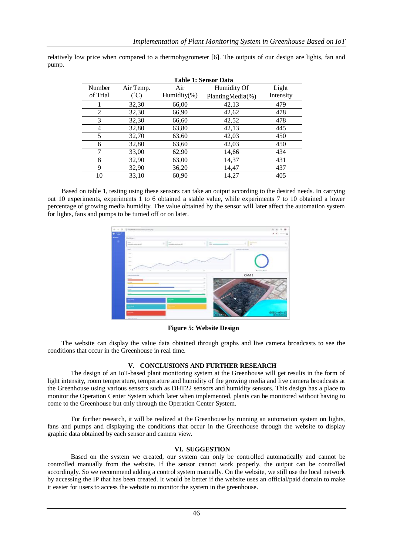| <b>Table 1: Sensor Data</b> |               |                 |                  |           |  |
|-----------------------------|---------------|-----------------|------------------|-----------|--|
| Number                      | Air Temp.     | Air             | Humidity Of      | Light     |  |
| of Trial                    | $(^{\circ}C)$ | Humidity $(\%)$ | PlantingMedia(%) | Intensity |  |
|                             | 32,30         | 66,00           | 42,13            | 479       |  |
| 2                           | 32,30         | 66,90           | 42,62            | 478       |  |
| 3                           | 32,30         | 66,60           | 42,52            | 478       |  |
| 4                           | 32,80         | 63,80           | 42,13            | 445       |  |
| 5                           | 32,70         | 63,60           | 42,03            | 450       |  |
| 6                           | 32,80         | 63,60           | 42,03            | 450       |  |
| 7                           | 33,00         | 62,90           | 14,66            | 434       |  |
| 8                           | 32,90         | 63,00           | 14,37            | 431       |  |
| 9                           | 32,90         | 36,20           | 14,47            | 437       |  |
| 10                          | 33,10         | 60,90           | 14,27            | 405       |  |

relatively low price when compared to a thermohygrometer [6]. The outputs of our design are lights, fan and pump.

Based on table 1, testing using these sensors can take an output according to the desired needs. In carrying out 10 experiments, experiments 1 to 6 obtained a stable value, while experiments 7 to 10 obtained a lower percentage of growing media humidity. The value obtained by the sensor will later affect the automation system for lights, fans and pumps to be turned off or on later.



**Figure 5: Website Design**

The website can display the value data obtained through graphs and live camera broadcasts to see the conditions that occur in the Greenhouse in real time.

### **V. CONCLUSIONS AND FURTHER RESEARCH**

The design of an IoT-based plant monitoring system at the Greenhouse will get results in the form of light intensity, room temperature, temperature and humidity of the growing media and live camera broadcasts at the Greenhouse using various sensors such as DHT22 sensors and humidity sensors. This design has a place to monitor the Operation Center System which later when implemented, plants can be monitored without having to come to the Greenhouse but only through the Operation Center System.

For further research, it will be realized at the Greenhouse by running an automation system on lights, fans and pumps and displaying the conditions that occur in the Greenhouse through the website to display graphic data obtained by each sensor and camera view.

### **VI. SUGGESTION**

Based on the system we created, our system can only be controlled automatically and cannot be controlled manually from the website. If the sensor cannot work properly, the output can be controlled accordingly. So we recommend adding a control system manually. On the website, we still use the local network by accessing the IP that has been created. It would be better if the website uses an official/paid domain to make it easier for users to access the website to monitor the system in the greenhouse.